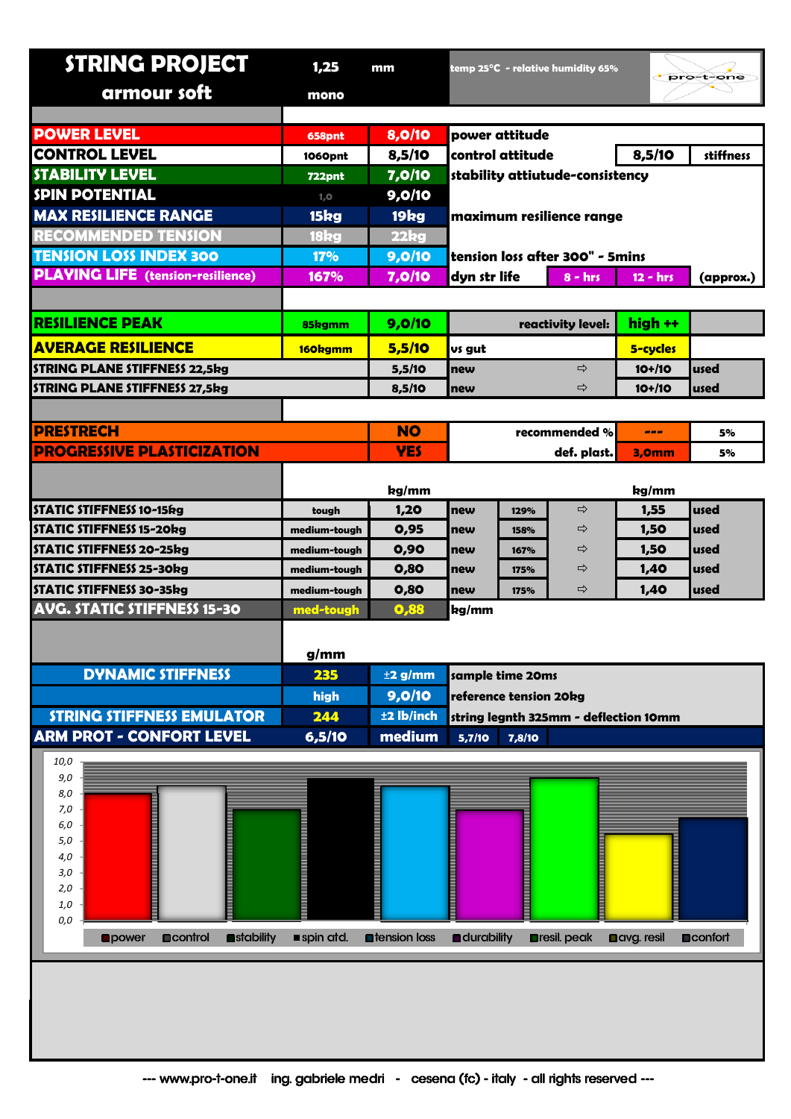| <b>STRING PROJECT</b>                                          | 1,25                      | mm                            |                                       |      | temp 25°C  - relative humidity 65% |                    | pro-t-one        |  |
|----------------------------------------------------------------|---------------------------|-------------------------------|---------------------------------------|------|------------------------------------|--------------------|------------------|--|
| armour soft                                                    | mono                      |                               |                                       |      |                                    |                    |                  |  |
|                                                                |                           |                               |                                       |      |                                    |                    |                  |  |
| <b>POWER LEVEL</b>                                             | 658pnt                    | 8,0/10                        | power attitude                        |      |                                    |                    |                  |  |
| <b>CONTROL LEVEL</b>                                           | 1060pnt                   | 8,5/10                        | control attitude                      |      | 8,5/10                             | stiffness          |                  |  |
| <b>STABILITY LEVEL</b>                                         | <b>722pnt</b>             | 7,0/10                        | stability attiutude-consistency       |      |                                    |                    |                  |  |
| <b>SPIN POTENTIAL</b>                                          | 1, 0                      | 9,0/10                        |                                       |      |                                    |                    |                  |  |
| <b>MAX RESILIENCE RANGE</b>                                    | 15kg                      | 19kg                          | maximum resilience range              |      |                                    |                    |                  |  |
| <b>RECOMMENDED TENSION</b>                                     | 18kg                      | 22kg                          |                                       |      |                                    |                    |                  |  |
| <b>TENSION LOSS INDEX 300</b>                                  | <b>17%</b>                | 9,0/10                        | tension loss after 300" - 5mins       |      |                                    |                    |                  |  |
| <b>PLAYING LIFE</b> (tension-resilience)                       | 167%                      | 7,0/10                        | dyn str life                          |      | $8 - hrs$                          | $12 - hrs$         | (approx.)        |  |
|                                                                |                           |                               |                                       |      |                                    |                    |                  |  |
| <b>RESILIENCE PEAK</b>                                         | 85kgmm                    | 9,0/10                        |                                       |      | reactivity level:                  | high ++            |                  |  |
| <b>AVERAGE RESILIENCE</b>                                      | 160kgmm                   | 5,5/10                        | vs gut                                |      |                                    | 5-cycles           |                  |  |
| <b>STRING PLANE STIFFNESS 22,5kg</b>                           |                           | 5,5/10                        | ⇨<br>new                              |      |                                    | $10+110$           | used             |  |
| STRING PLANE STIFFNESS 27,5kg                                  |                           | 8,5/10                        | new                                   |      | ⇨                                  | $10+110$           | used             |  |
|                                                                |                           |                               |                                       |      |                                    |                    |                  |  |
| <b>PRESTRECH</b>                                               |                           | <b>NO</b>                     | recommended %                         |      |                                    | ---                | 5%               |  |
| <b>PROGRESSIVE PLASTICIZATION</b>                              |                           | <b>YES</b>                    | def. plast.                           |      | 3,0mm                              | 5%                 |                  |  |
|                                                                |                           |                               |                                       |      |                                    |                    |                  |  |
|                                                                |                           | kg/mm                         |                                       |      |                                    | kg/mm              |                  |  |
| STATIC STIFFNESS 10-15kg                                       | tough                     | 1,20                          | new                                   | 129% | ⇨                                  | 1,55               | used             |  |
| <b>STATIC STIFFNESS 15-20kg</b>                                | medium-tough              | 0,95                          | new                                   | 158% | ⇨                                  | 1,50               | used             |  |
| <b>STATIC STIFFNESS 20-25kg</b>                                | medium-tough              | 0,90                          | new                                   | 167% | ⇨                                  | 1,50               | used             |  |
| <b>STATIC STIFFNESS 25-30kg</b>                                | medium-tough              | 0,80                          | new                                   | 175% | ⇨                                  | 1,40               | used             |  |
| STATIC STIFFNESS 30-35kg<br><b>AVG. STATIC STIFFNESS 15-30</b> | medium-tough<br>med-tough | 0,80<br>0,88                  | new<br>kg/mm                          | 175% | ⇨                                  | 1,40               | used             |  |
|                                                                |                           |                               |                                       |      |                                    |                    |                  |  |
|                                                                | g/mm                      |                               |                                       |      |                                    |                    |                  |  |
| <b>DYNAMIC STIFFNESS</b>                                       | 235                       | $±2$ g/mm<br>sample time 20ms |                                       |      |                                    |                    |                  |  |
|                                                                | high                      | 9,0/10                        | reference tension 20kg                |      |                                    |                    |                  |  |
| <b>STRING STIFFNESS EMULATOR</b>                               | 244                       | ±2 lb/inch                    | string legnth 325mm - deflection 10mm |      |                                    |                    |                  |  |
| <b>ARM PROT - CONFORT LEVEL</b>                                | 6,5/10                    | medium                        | 5,7/10<br>7,8/10                      |      |                                    |                    |                  |  |
| 10,0                                                           |                           |                               |                                       |      |                                    |                    |                  |  |
| 9,0                                                            |                           |                               |                                       |      |                                    |                    |                  |  |
| 8,0                                                            |                           |                               |                                       |      |                                    |                    |                  |  |
| 7,0<br>6,0                                                     |                           |                               |                                       |      |                                    |                    |                  |  |
| 5,0                                                            |                           |                               |                                       |      |                                    |                    |                  |  |
| 4,0                                                            |                           |                               |                                       |      |                                    |                    |                  |  |
| 3,0                                                            |                           |                               |                                       |      |                                    |                    |                  |  |
| 2,0<br>1,0                                                     |                           |                               |                                       |      |                                    |                    |                  |  |
| 0,0                                                            |                           |                               |                                       |      |                                    |                    |                  |  |
| <b>D</b> control<br>stability<br><b>Opower</b>                 | spin atd.                 | <b>n</b> tension loss         | <b>a</b> durability                   |      | <b>Dresil</b> . peak               | <b>Davg.</b> resil | <b>Deconfort</b> |  |
|                                                                |                           |                               |                                       |      |                                    |                    |                  |  |
|                                                                |                           |                               |                                       |      |                                    |                    |                  |  |
|                                                                |                           |                               |                                       |      |                                    |                    |                  |  |
|                                                                |                           |                               |                                       |      |                                    |                    |                  |  |
|                                                                |                           |                               |                                       |      |                                    |                    |                  |  |